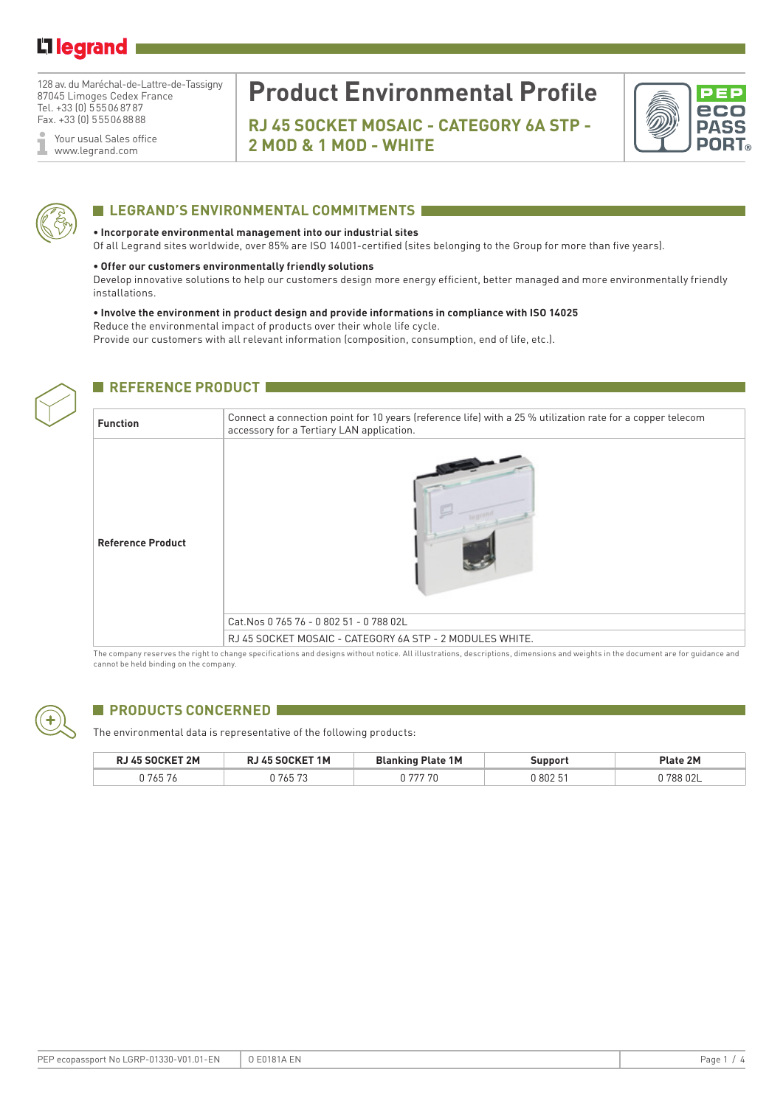## Li legrand

128 av. du Maréchal-de-Lattre-de-Tassigny 87045 Limoges Cedex France Tel. +33 (0) 555068787 Fax. +33 (0) 555068888

Your usual Sales office ĭ www.legrand.com

# **Product Environmental Profile**

**RJ 45 SOCKET MOSAIC - CATEGORY 6A STP - 2 MOD & 1 MOD - WHITE** 





### **LEGRAND'S ENVIRONMENTAL COMMITMENTS**

#### **• Incorporate environmental management into our industrial sites**

Of all Legrand sites worldwide, over 85% are ISO 14001-certified (sites belonging to the Group for more than five years).

#### **• Offer our customers environmentally friendly solutions**

Develop innovative solutions to help our customers design more energy efficient, better managed and more environmentally friendly installations.

#### **• Involve the environment in product design and provide informations in compliance with ISO 14025**

Reduce the environmental impact of products over their whole life cycle.

Provide our customers with all relevant information (composition, consumption, end of life, etc.).



### **REFERENCE PRODUCT IN**

| <b>Function</b>          | Connect a connection point for 10 years (reference life) with a 25 % utilization rate for a copper telecom<br>accessory for a Tertiary LAN application. |
|--------------------------|---------------------------------------------------------------------------------------------------------------------------------------------------------|
| <b>Reference Product</b> |                                                                                                                                                         |
|                          | Cat. Nos 0 765 76 - 0 802 51 - 0 788 02L                                                                                                                |
|                          | RJ 45 SOCKET MOSAIC - CATEGORY 6A STP - 2 MODULES WHITE.                                                                                                |

The company reserves the right to change specifications and designs without notice. All illustrations, descriptions, dimensions and weights in the document are for guidance and cannot be held binding on the company.



### **PRODUCTS CONCERNED**

The environmental data is representative of the following products:

| <b>RJ 45 SOCKET 2M</b> | RJ 45 SOCKET 1M | <b>Blanking Plate 1M</b> | Support  | Plate 2M  |
|------------------------|-----------------|--------------------------|----------|-----------|
| 765 76                 | 765 73 ا        | 777 70                   | J 802 51 | ן 788 02L |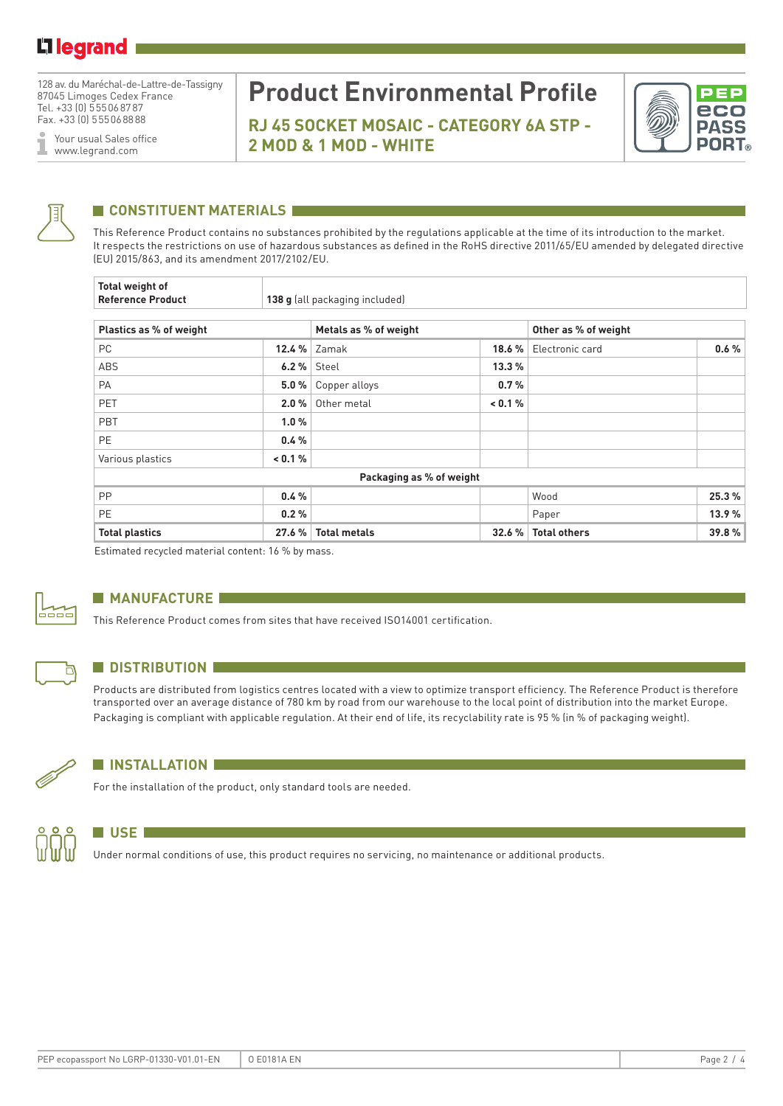128 av. du Maréchal-de-Lattre-de-Tassigny 87045 Limoges Cedex France Tel. +33 (0) 555068787 Fax. +33 (0) 555068888

Your usual Sales office I www.legrand.com

# **Product Environmental Profile**

**RJ 45 SOCKET MOSAIC - CATEGORY 6A STP - 2 MOD & 1 MOD - WHITE** 





## **CONSTITUENT MATERIALS**

This Reference Product contains no substances prohibited by the regulations applicable at the time of its introduction to the market. It respects the restrictions on use of hazardous substances as defined in the RoHS directive 2011/65/EU amended by delegated directive (EU) 2015/863, and its amendment 2017/2102/EU.

| <b>Total weight of</b><br><b>Reference Product</b> | 138 g (all packaging included) |                       |         |                      |       |  |  |
|----------------------------------------------------|--------------------------------|-----------------------|---------|----------------------|-------|--|--|
| Plastics as % of weight                            |                                | Metals as % of weight |         | Other as % of weight |       |  |  |
| <b>PC</b>                                          | 12.4 %                         | Zamak                 | 18.6 %  | Electronic card      | 0.6%  |  |  |
| ABS                                                | $6.2\%$ Steel                  |                       | 13.3%   |                      |       |  |  |
| PA                                                 | 5.0%                           | Copper alloys         | 0.7%    |                      |       |  |  |
| PET                                                | 2.0%                           | Other metal           | < 0.1 % |                      |       |  |  |
| PBT                                                | 1.0%                           |                       |         |                      |       |  |  |
| <b>PE</b>                                          | 0.4%                           |                       |         |                      |       |  |  |
| Various plastics                                   | < 0.1 %                        |                       |         |                      |       |  |  |
| Packaging as % of weight                           |                                |                       |         |                      |       |  |  |
| <b>PP</b>                                          | 0.4%                           |                       |         | Wood                 | 25.3% |  |  |
| <b>PE</b>                                          | 0.2%                           |                       |         | Paper                | 13.9% |  |  |
| <b>Total plastics</b>                              | 27.6 %                         | <b>Total metals</b>   | 32.6 %  | <b>Total others</b>  | 39.8% |  |  |

Estimated recycled material content: 16 % by mass.



### **MANUFACTURE**

This Reference Product comes from sites that have received ISO14001 certification.



### **N** DISTRIBUTION

Products are distributed from logistics centres located with a view to optimize transport efficiency. The Reference Product is therefore transported over an average distance of 780 km by road from our warehouse to the local point of distribution into the market Europe. Packaging is compliant with applicable regulation. At their end of life, its recyclability rate is 95 % (in % of packaging weight).



### **N** INSTALLATION

For the installation of the product, only standard tools are needed.



### **N** USE **I**

Under normal conditions of use, this product requires no servicing, no maintenance or additional products.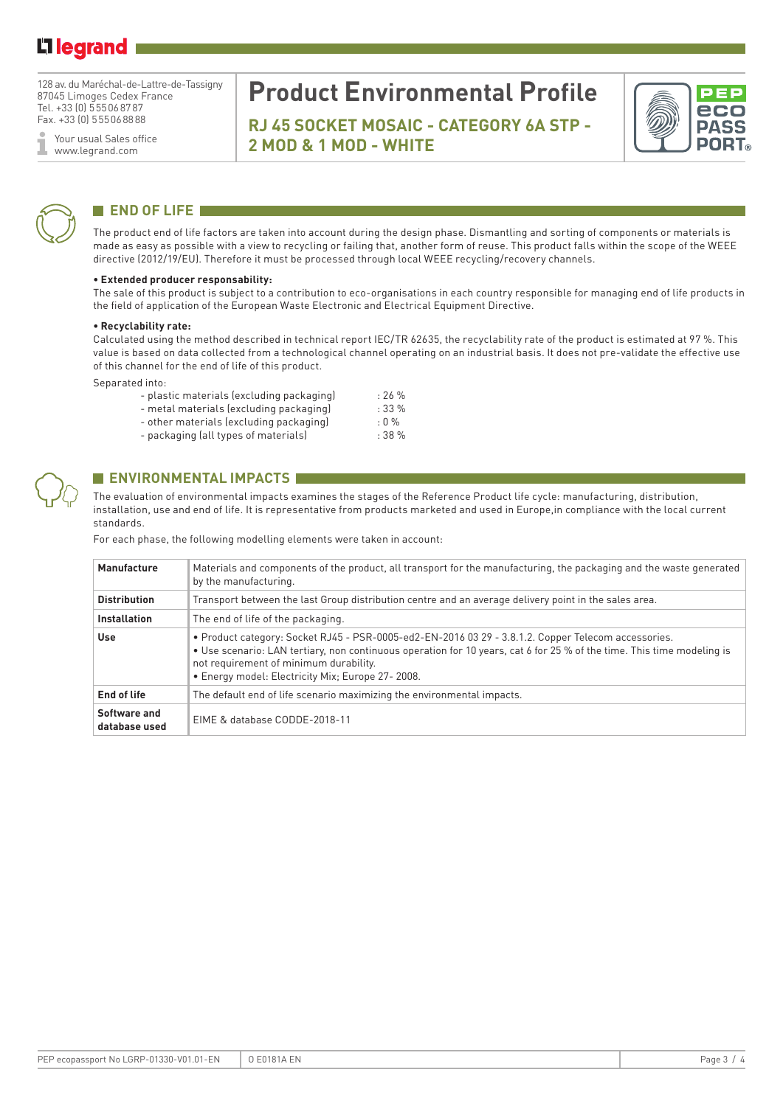## Li legrand

128 av. du Maréchal-de-Lattre-de-Tassigny 87045 Limoges Cedex France Tel. +33 (0) 555068787 Fax. +33 (0) 555068888

Your usual Sales office I www.legrand.com

## **Product Environmental Profile**

**RJ 45 SOCKET MOSAIC - CATEGORY 6A STP - 2 MOD & 1 MOD - WHITE** 





## **END OF LIFE**

The product end of life factors are taken into account during the design phase. Dismantling and sorting of components or materials is made as easy as possible with a view to recycling or failing that, another form of reuse. This product falls within the scope of the WEEE directive (2012/19/EU). Therefore it must be processed through local WEEE recycling/recovery channels.

#### **• Extended producer responsability:**

The sale of this product is subject to a contribution to eco-organisations in each country responsible for managing end of life products in the field of application of the European Waste Electronic and Electrical Equipment Directive.

#### **• Recyclability rate:**

Calculated using the method described in technical report IEC/TR 62635, the recyclability rate of the product is estimated at 97 %. This value is based on data collected from a technological channel operating on an industrial basis. It does not pre-validate the effective use of this channel for the end of life of this product.

Separated into:

| - plastic materials (excluding packaging) | $: 26 \%$   |
|-------------------------------------------|-------------|
| - metal materials (excluding packaging)   | $: 33 \%$   |
| - other materials (excluding packaging)   | $\cdot$ 0 % |
| - packaging (all types of materials)      | :38%        |

### **ENVIRONMENTAL IMPACTS**

The evaluation of environmental impacts examines the stages of the Reference Product life cycle: manufacturing, distribution, installation, use and end of life. It is representative from products marketed and used in Europe,in compliance with the local current standards.

For each phase, the following modelling elements were taken in account:

| Manufacture                   | Materials and components of the product, all transport for the manufacturing, the packaging and the waste generated<br>by the manufacturing.                                                                                                                                                                                |
|-------------------------------|-----------------------------------------------------------------------------------------------------------------------------------------------------------------------------------------------------------------------------------------------------------------------------------------------------------------------------|
| <b>Distribution</b>           | Transport between the last Group distribution centre and an average delivery point in the sales area.                                                                                                                                                                                                                       |
| <b>Installation</b>           | The end of life of the packaging.                                                                                                                                                                                                                                                                                           |
| <b>Use</b>                    | · Product category: Socket RJ45 - PSR-0005-ed2-EN-2016 03 29 - 3.8.1.2. Copper Telecom accessories.<br>• Use scenario: LAN tertiary, non continuous operation for 10 years, cat 6 for 25 % of the time. This time modeling is<br>not requirement of minimum durability.<br>• Energy model: Electricity Mix; Europe 27-2008. |
| End of life                   | The default end of life scenario maximizing the environmental impacts.                                                                                                                                                                                                                                                      |
| Software and<br>database used | EIME & database CODDE-2018-11                                                                                                                                                                                                                                                                                               |